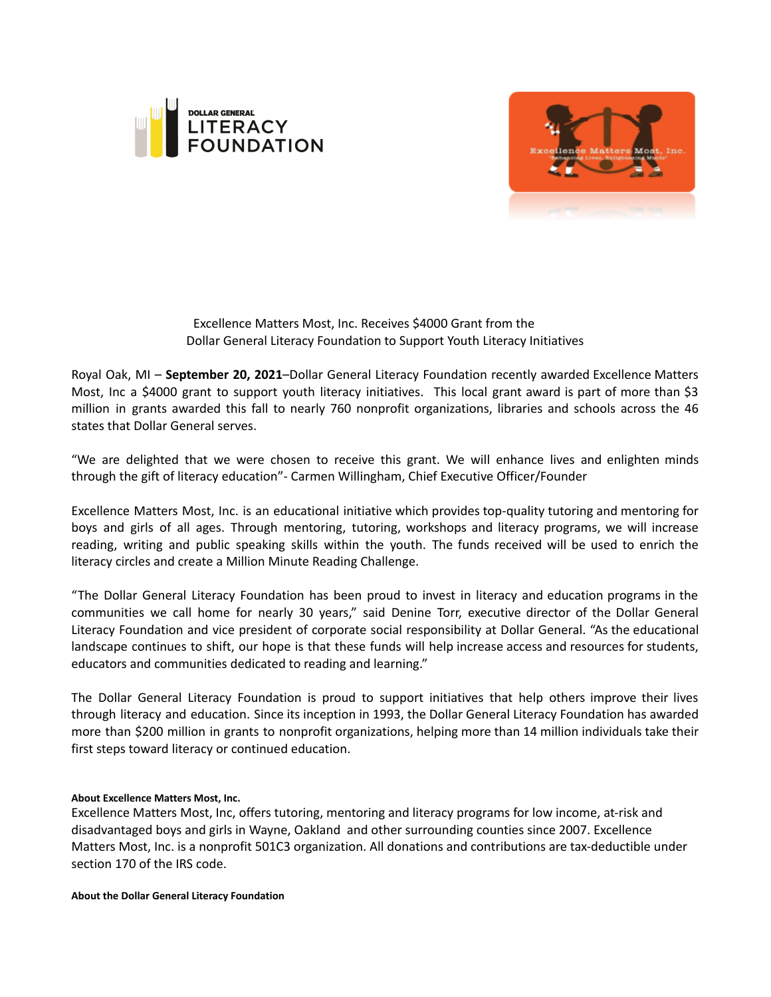



Excellence Matters Most, Inc. Receives \$4000 Grant from the Dollar General Literacy Foundation to Support Youth Literacy Initiatives

Royal Oak, MI – **September 20, 2021**–Dollar General Literacy Foundation recently awarded Excellence Matters Most, Inc a \$4000 grant to support youth literacy initiatives. This local grant award is part of more than \$3 million in grants awarded this fall to nearly 760 nonprofit organizations, libraries and schools across the 46 states that Dollar General serves.

"We are delighted that we were chosen to receive this grant. We will enhance lives and enlighten minds through the gift of literacy education"- Carmen Willingham, Chief Executive Officer/Founder

Excellence Matters Most, Inc. is an educational initiative which provides top-quality tutoring and mentoring for boys and girls of all ages. Through mentoring, tutoring, workshops and literacy programs, we will increase reading, writing and public speaking skills within the youth. The funds received will be used to enrich the literacy circles and create a Million Minute Reading Challenge.

"The Dollar General Literacy Foundation has been proud to invest in literacy and education programs in the communities we call home for nearly 30 years," said Denine Torr, executive director of the Dollar General Literacy Foundation and vice president of corporate social responsibility at Dollar General. "As the educational landscape continues to shift, our hope is that these funds will help increase access and resources for students, educators and communities dedicated to reading and learning."

The Dollar General Literacy Foundation is proud to support initiatives that help others improve their lives through literacy and education. Since its inception in 1993, the Dollar General Literacy Foundation has awarded more than \$200 million in grants to nonprofit organizations, helping more than 14 million individuals take their first steps toward literacy or continued education.

## **About Excellence Matters Most, Inc.**

Excellence Matters Most, Inc, offers tutoring, mentoring and literacy programs for low income, at-risk and disadvantaged boys and girls in Wayne, Oakland and other surrounding counties since 2007. Excellence Matters Most, Inc. is a nonprofit 501C3 organization. All donations and contributions are tax-deductible under section 170 of the IRS code.

**About the Dollar General Literacy Foundation**